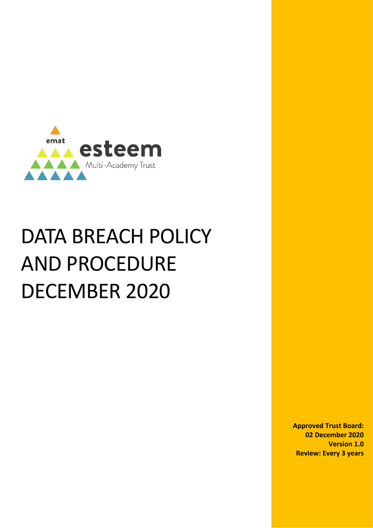

# DATA BREACH POLICY AND PROCEDURE DECEMBER 2020

**Approved Trust Board: 02 December 2020 Version 1.0 Review: Every 3 years**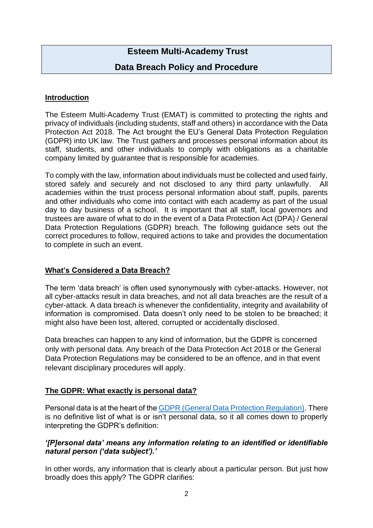# **Esteem Multi-Academy Trust**

# **Data Breach Policy and Procedure**

#### **Introduction**

The Esteem Multi-Academy Trust (EMAT) is committed to protecting the rights and privacy of individuals (including students, staff and others) in accordance with the Data Protection Act 2018. The Act brought the EU's General Data Protection Regulation (GDPR) into UK law. The Trust gathers and processes personal information about its staff, students, and other individuals to comply with obligations as a charitable company limited by guarantee that is responsible for academies.

To comply with the law, information about individuals must be collected and used fairly, stored safely and securely and not disclosed to any third party unlawfully. All academies within the trust process personal information about staff, pupils, parents and other individuals who come into contact with each academy as part of the usual day to day business of a school. It is important that all staff, local governors and trustees are aware of what to do in the event of a Data Protection Act (DPA) / General Data Protection Regulations (GDPR) breach. The following guidance sets out the correct procedures to follow, required actions to take and provides the documentation to complete in such an event.

#### **What's Considered a Data Breach?**

The term 'data breach' is often used synonymously with cyber-attacks. However, not all cyber-attacks result in data breaches, and not all data breaches are the result of a cyber-attack. A data breach is whenever the confidentiality, integrity and availability of information is compromised. Data doesn't only need to be stolen to be breached; it might also have been lost, altered, corrupted or accidentally disclosed.

Data breaches can happen to any kind of information, but the GDPR is concerned only with personal data. Any breach of the Data Protection Act 2018 or the General Data Protection Regulations may be considered to be an offence, and in that event relevant disciplinary procedures will apply.

#### **The GDPR: What exactly is personal data?**

Personal data is at the heart of the[GDPR \(General Data Protection Regulation\).](https://www.itgovernance.eu/eu-general-data-protection-regulation-gdpr) There is no definitive list of what is or isn't personal data, so it all comes down to properly interpreting the GDPR's definition:

#### *'[P]ersonal data' means any information relating to an identified or identifiable natural person ('data subject').'*

In other words, any information that is clearly about a particular person. But just how broadly does this apply? The GDPR clarifies: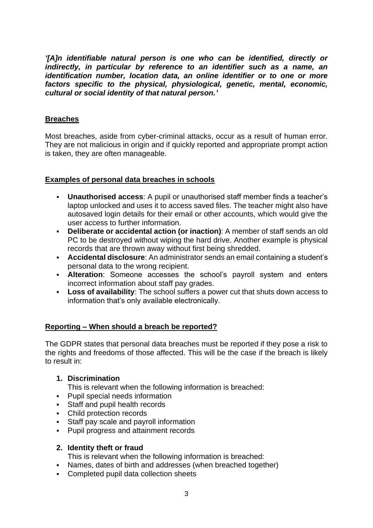*'[A]n identifiable natural person is one who can be identified, directly or indirectly, in particular by reference to an identifier such as a name, an identification number, location data, an online identifier or to one or more factors specific to the physical, physiological, genetic, mental, economic, cultural or social identity of that natural person.'*

#### **Breaches**

Most breaches, aside from cyber-criminal attacks, occur as a result of human error. They are not malicious in origin and if quickly reported and appropriate prompt action is taken, they are often manageable.

#### **Examples of personal data breaches in schools**

- **Unauthorised access:** A pupil or unauthorised staff member finds a teacher's laptop unlocked and uses it to access saved files. The teacher might also have autosaved login details for their email or other accounts, which would give the user access to further information.
- **Deliberate or accidental action (or inaction)**: A member of staff sends an old PC to be destroyed without wiping the hard drive. Another example is physical records that are thrown away without first being shredded.
- **Accidental disclosure**: An administrator sends an email containing a student's personal data to the wrong recipient.
- **Alteration**: Someone accesses the school's payroll system and enters incorrect information about staff pay grades.
- **Loss of availability**: The school suffers a power cut that shuts down access to information that's only available electronically.

# **Reporting – When should a breach be reported?**

The GDPR states that personal data breaches must be reported if they pose a risk to the rights and freedoms of those affected. This will be the case if the breach is likely to result in:

# **1. Discrimination**

This is relevant when the following information is breached:

- Pupil special needs information
- Staff and pupil health records
- Child protection records
- **Staff pay scale and payroll information**
- Pupil progress and attainment records

#### **2. Identity theft or fraud**

This is relevant when the following information is breached:

- Names, dates of birth and addresses (when breached together)
- Completed pupil data collection sheets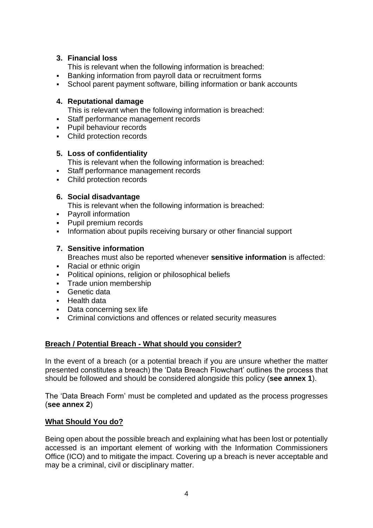# **3. Financial loss**

This is relevant when the following information is breached:

- Banking information from payroll data or recruitment forms
- School parent payment software, billing information or bank accounts

#### **4. Reputational damage**

This is relevant when the following information is breached:

- Staff performance management records
- **Pupil behaviour records**
- Child protection records

#### **5. Loss of confidentiality**

- This is relevant when the following information is breached:
- Staff performance management records
- Child protection records

# **6. Social disadvantage**

This is relevant when the following information is breached:

- Payroll information
- Pupil premium records
- **Information about pupils receiving bursary or other financial support**

# **7. Sensitive information**

Breaches must also be reported whenever **sensitive information** is affected:

- Racial or ethnic origin
- **•** Political opinions, religion or philosophical beliefs
- Trade union membership
- Genetic data
- Health data
- Data concerning sex life
- Criminal convictions and offences or related security measures

# **Breach / Potential Breach - What should you consider?**

In the event of a breach (or a potential breach if you are unsure whether the matter presented constitutes a breach) the 'Data Breach Flowchart' outlines the process that should be followed and should be considered alongside this policy (**see annex 1**).

The 'Data Breach Form' must be completed and updated as the process progresses (**see annex 2**)

#### **What Should You do?**

Being open about the possible breach and explaining what has been lost or potentially accessed is an important element of working with the Information Commissioners Office (ICO) and to mitigate the impact. Covering up a breach is never acceptable and may be a criminal, civil or disciplinary matter.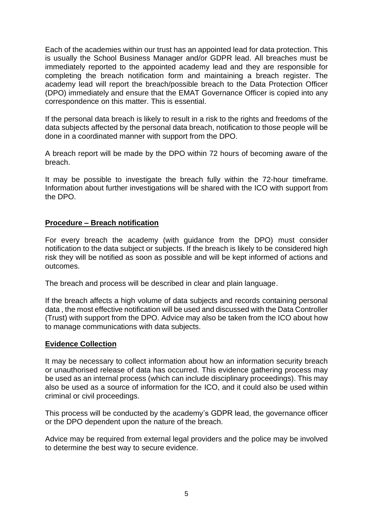Each of the academies within our trust has an appointed lead for data protection. This is usually the School Business Manager and/or GDPR lead. All breaches must be immediately reported to the appointed academy lead and they are responsible for completing the breach notification form and maintaining a breach register. The academy lead will report the breach/possible breach to the Data Protection Officer (DPO) immediately and ensure that the EMAT Governance Officer is copied into any correspondence on this matter. This is essential.

If the personal data breach is likely to result in a risk to the rights and freedoms of the data subjects affected by the personal data breach, notification to those people will be done in a coordinated manner with support from the DPO.

A breach report will be made by the DPO within 72 hours of becoming aware of the breach.

It may be possible to investigate the breach fully within the 72-hour timeframe. Information about further investigations will be shared with the ICO with support from the DPO.

#### **Procedure – Breach notification**

For every breach the academy (with guidance from the DPO) must consider notification to the data subject or subjects. If the breach is likely to be considered high risk they will be notified as soon as possible and will be kept informed of actions and outcomes.

The breach and process will be described in clear and plain language.

If the breach affects a high volume of data subjects and records containing personal data , the most effective notification will be used and discussed with the Data Controller (Trust) with support from the DPO. Advice may also be taken from the ICO about how to manage communications with data subjects.

#### **Evidence Collection**

It may be necessary to collect information about how an information security breach or unauthorised release of data has occurred. This evidence gathering process may be used as an internal process (which can include disciplinary proceedings). This may also be used as a source of information for the ICO, and it could also be used within criminal or civil proceedings.

This process will be conducted by the academy's GDPR lead, the governance officer or the DPO dependent upon the nature of the breach.

Advice may be required from external legal providers and the police may be involved to determine the best way to secure evidence.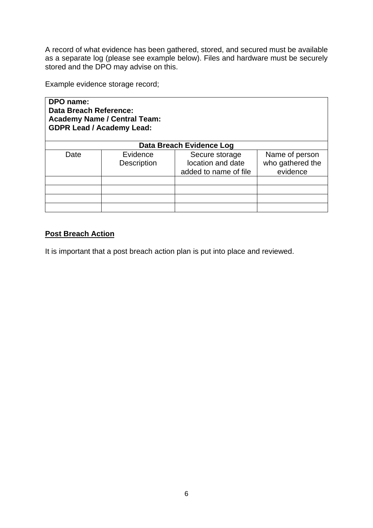A record of what evidence has been gathered, stored, and secured must be available as a separate log (please see example below). Files and hardware must be securely stored and the DPO may advise on this.

Example evidence storage record;

**DPO name: Data Breach Reference: Academy Name / Central Team: GDPR Lead / Academy Lead:** 

| Data Breach Evidence Log |                                |                                                              |                                                |
|--------------------------|--------------------------------|--------------------------------------------------------------|------------------------------------------------|
| Date                     | Evidence<br><b>Description</b> | Secure storage<br>location and date<br>added to name of file | Name of person<br>who gathered the<br>evidence |
|                          |                                |                                                              |                                                |

# **Post Breach Action**

It is important that a post breach action plan is put into place and reviewed.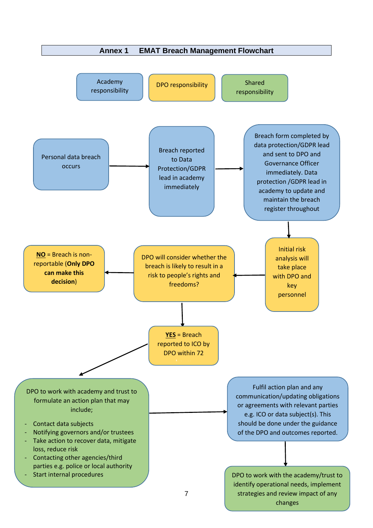

changes